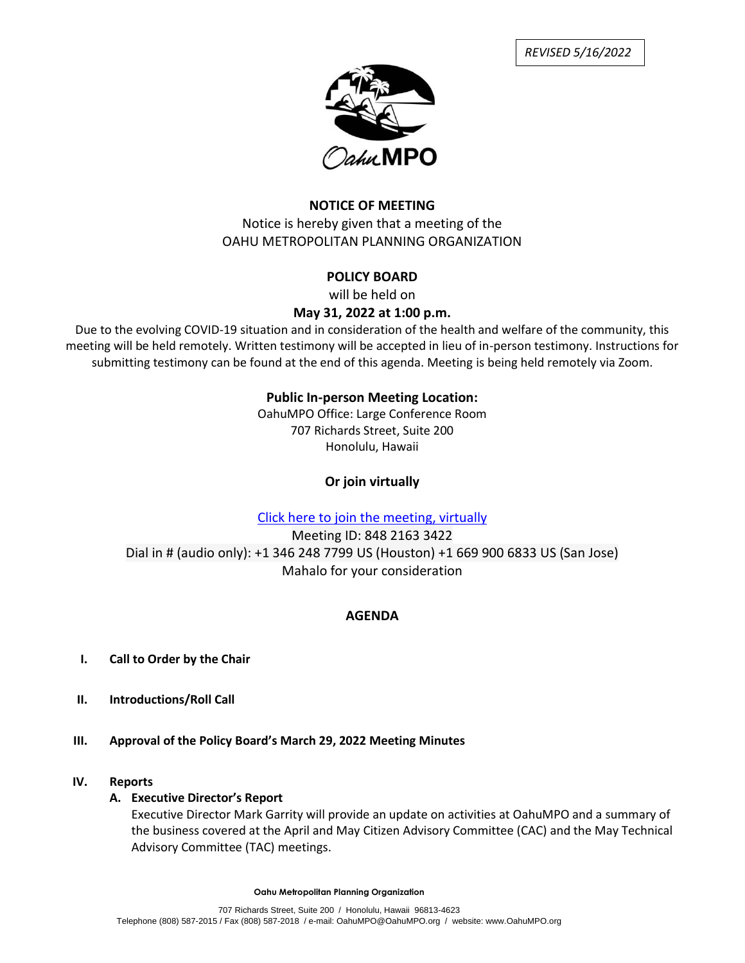*REVISED 5/16/2022*



## **NOTICE OF MEETING** Notice is hereby given that a meeting of the OAHU METROPOLITAN PLANNING ORGANIZATION

# **POLICY BOARD**

will be held on

## **May 31, 2022 at 1:00 p.m.**

Due to the evolving COVID-19 situation and in consideration of the health and welfare of the community, this meeting will be held remotely. Written testimony will be accepted in lieu of in-person testimony. Instructions for submitting testimony can be found at the end of this agenda. Meeting is being held remotely via Zoom.

# **Public In-person Meeting Location:**

OahuMPO Office: Large Conference Room 707 Richards Street, Suite 200 Honolulu, Hawaii

# **Or join virtually**

# [Click here to join the meeting, virtually](https://us06web.zoom.us/j/84821633422)

Meeting ID: 848 2163 3422 Dial in # (audio only): +1 346 248 7799 US (Houston) +1 669 900 6833 US (San Jose) Mahalo for your consideration

# **AGENDA**

- **I. Call to Order by the Chair**
- **II. Introductions/Roll Call**
- **III. Approval of the Policy Board's March 29, 2022 Meeting Minutes**

## **IV. Reports**

### **A. Executive Director's Report**

Executive Director Mark Garrity will provide an update on activities at OahuMPO and a summary of the business covered at the April and May Citizen Advisory Committee (CAC) and the May Technical Advisory Committee (TAC) meetings.

**Oahu Metropolitan Planning Organization**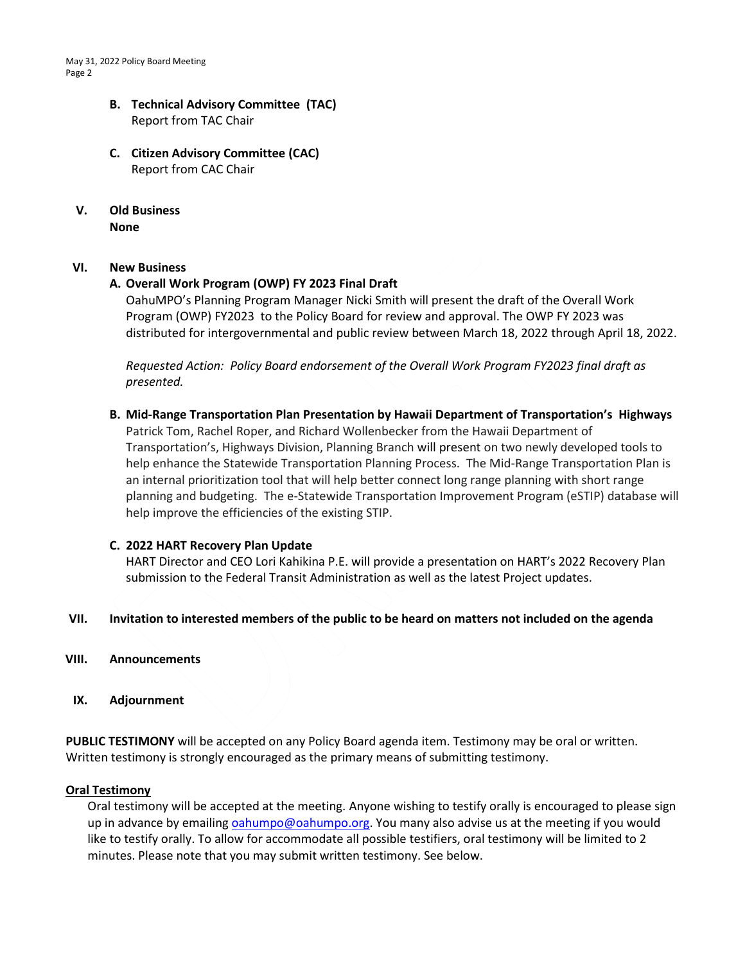### **B. Technical Advisory Committee (TAC)** Report from TAC Chair

- **C. Citizen Advisory Committee (CAC)** Report from CAC Chair
- **V. Old Business None**

### **VI. New Business**

### **A. Overall Work Program (OWP) FY 2023 Final Draft**

OahuMPO's Planning Program Manager Nicki Smith will present the draft of the Overall Work Program (OWP) FY2023 to the Policy Board for review and approval. The OWP FY 2023 was distributed for intergovernmental and public review between March 18, 2022 through April 18, 2022.

*Requested Action: Policy Board endorsement of the Overall Work Program FY2023 final draft as presented.*

**B. Mid-Range Transportation Plan Presentation by Hawaii Department of Transportation's Highways**

Patrick Tom, Rachel Roper, and Richard Wollenbecker from the Hawaii Department of Transportation's, Highways Division, Planning Branch will present on two newly developed tools to help enhance the Statewide Transportation Planning Process. The Mid-Range Transportation Plan is an internal prioritization tool that will help better connect long range planning with short range planning and budgeting. The e-Statewide Transportation Improvement Program (eSTIP) database will help improve the efficiencies of the existing STIP.

### **C. 2022 HART Recovery Plan Update**

HART Director and CEO Lori Kahikina P.E. will provide a presentation on HART's 2022 Recovery Plan submission to the Federal Transit Administration as well as the latest Project updates.

### **VII. Invitation to interested members of the public to be heard on matters not included on the agenda**

- **VIII. Announcements**
- **IX. Adjournment**

**PUBLIC TESTIMONY** will be accepted on any Policy Board agenda item. Testimony may be oral or written. Written testimony is strongly encouraged as the primary means of submitting testimony.

#### **Oral Testimony**

Oral testimony will be accepted at the meeting. Anyone wishing to testify orally is encouraged to please sign up in advance by emailing [oahumpo@oahumpo.org.](mailto:oahumpo@oahumpo.org) You many also advise us at the meeting if you would like to testify orally. To allow for accommodate all possible testifiers, oral testimony will be limited to 2 minutes. Please note that you may submit written testimony. See below.